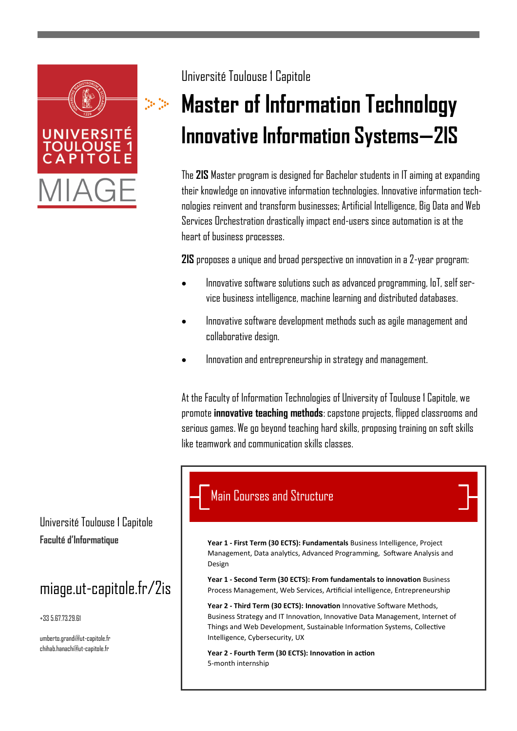

#### Université Toulouse 1 Capitole

# **Master of Information Technology Innovative Information Systems—2IS**

The **2IS** Master program is designed for Bachelor students in IT aiming at expanding their knowledge on innovative information technologies. Innovative information technologies reinvent and transform businesses; Artificial Intelligence, Big Data and Web Services Orchestration drastically impact end-users since automation is at the heart of business processes.

**2IS** proposes a unique and broad perspective on innovation in a 2-year program:

- Innovative software solutions such as advanced programming, IoT, self service business intelligence, machine learning and distributed databases.
- Innovative software development methods such as agile management and collaborative design.
- Innovation and entrepreneurship in strategy and management.

At the Faculty of Information Technologies of University of Toulouse 1 Capitole, we promote **innovative teaching methods**: capstone projects, flipped classrooms and serious games. We go beyond teaching hard skills, proposing training on soft skills like teamwork and communication skills classes.

### Main Courses and Structure

**Faculté d'Informatique Year 1 - First Term (30 ECTS): Fundamentals** Business Intelligence, Project Management, Data analytics, Advanced Programming, Software Analysis and Design

> **Year 1 - Second Term (30 ECTS): From fundamentals to innovation** Business Process Management, Web Services, Artificial intelligence, Entrepreneurship

**Year 2 - Third Term (30 ECTS): Innovation** Innovative Software Methods, Business Strategy and IT Innovation, Innovative Data Management, Internet of Things and Web Development, Sustainable Information Systems, Collective Intelligence, Cybersecurity, UX

**Year 2 - Fourth Term (30 ECTS): Innovation in action**  5-month internship

Université Toulouse 1 Capitole

# miage.ut-capitole.fr/2is

+33 5.67.73.29.61

umberto.grandi@ut-capitole.fr chihab.hanachi@ut-capitole.fr